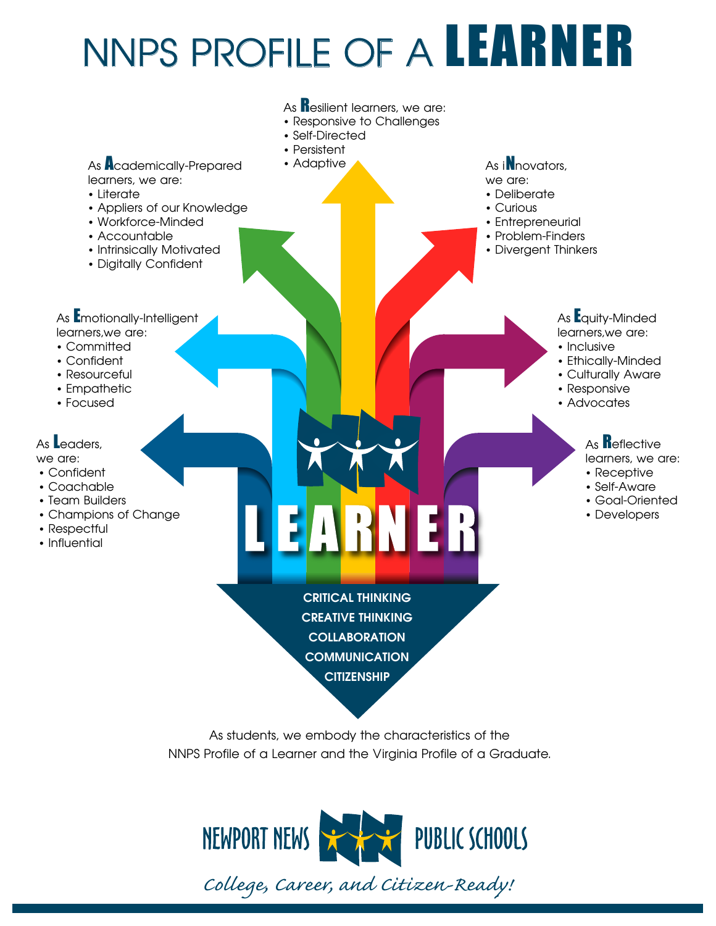# NNPS PROFILE OF A LEARNER